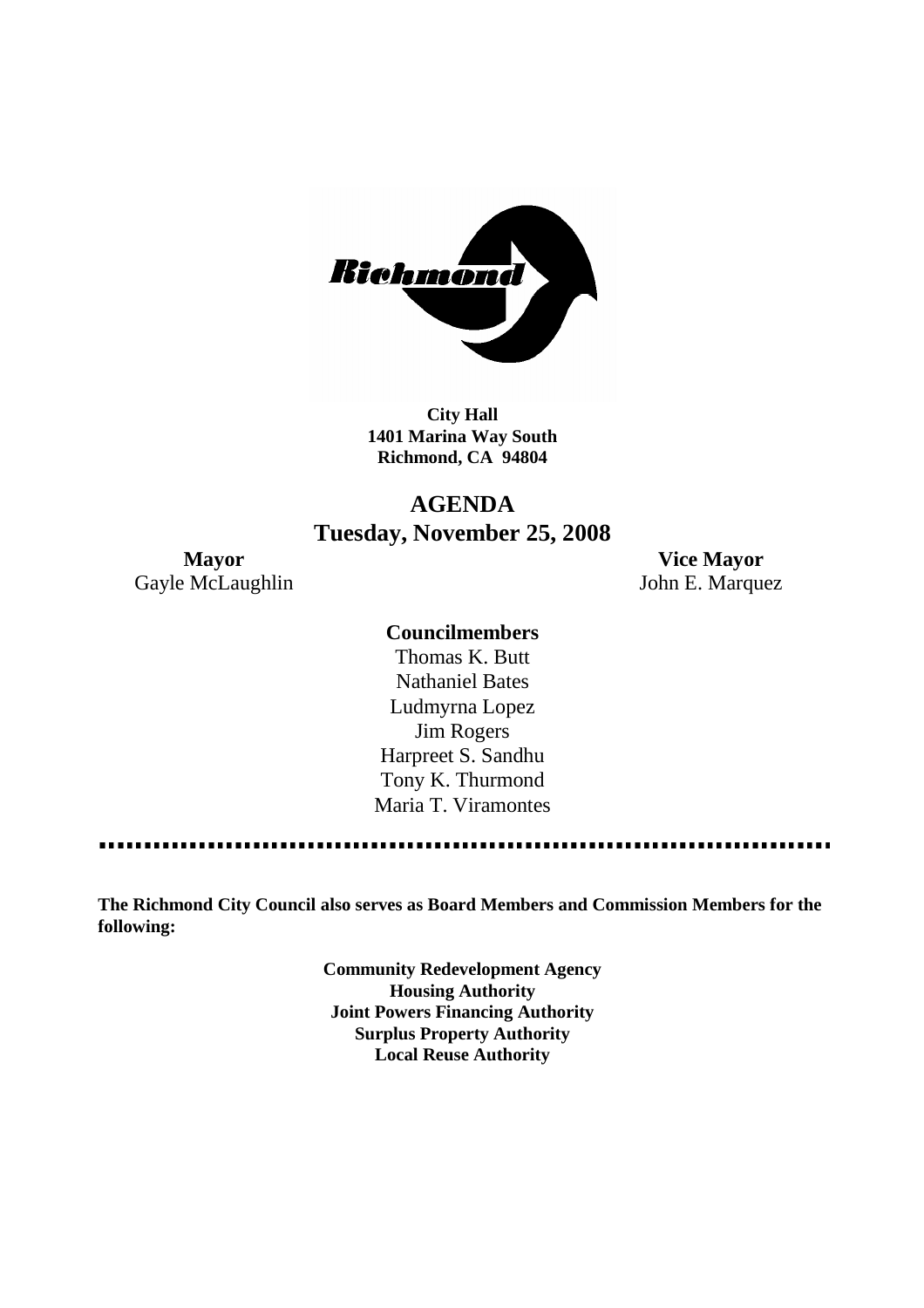

**City Hall 1401 Marina Way South Richmond, CA 94804**

# **AGENDA Tuesday, November 25, 2008**

**Mayor Vice Mayor** Gayle McLaughlin John E. Marquez

#### **Councilmembers**

Thomas K. Butt Nathaniel Bates Ludmyrna Lopez Jim Rogers Harpreet S. Sandhu Tony K. Thurmond Maria T. Viramontes

**The Richmond City Council also serves as Board Members and Commission Members for the following:**

> **Community Redevelopment Agency Housing Authority Joint Powers Financing Authority Surplus Property Authority Local Reuse Authority**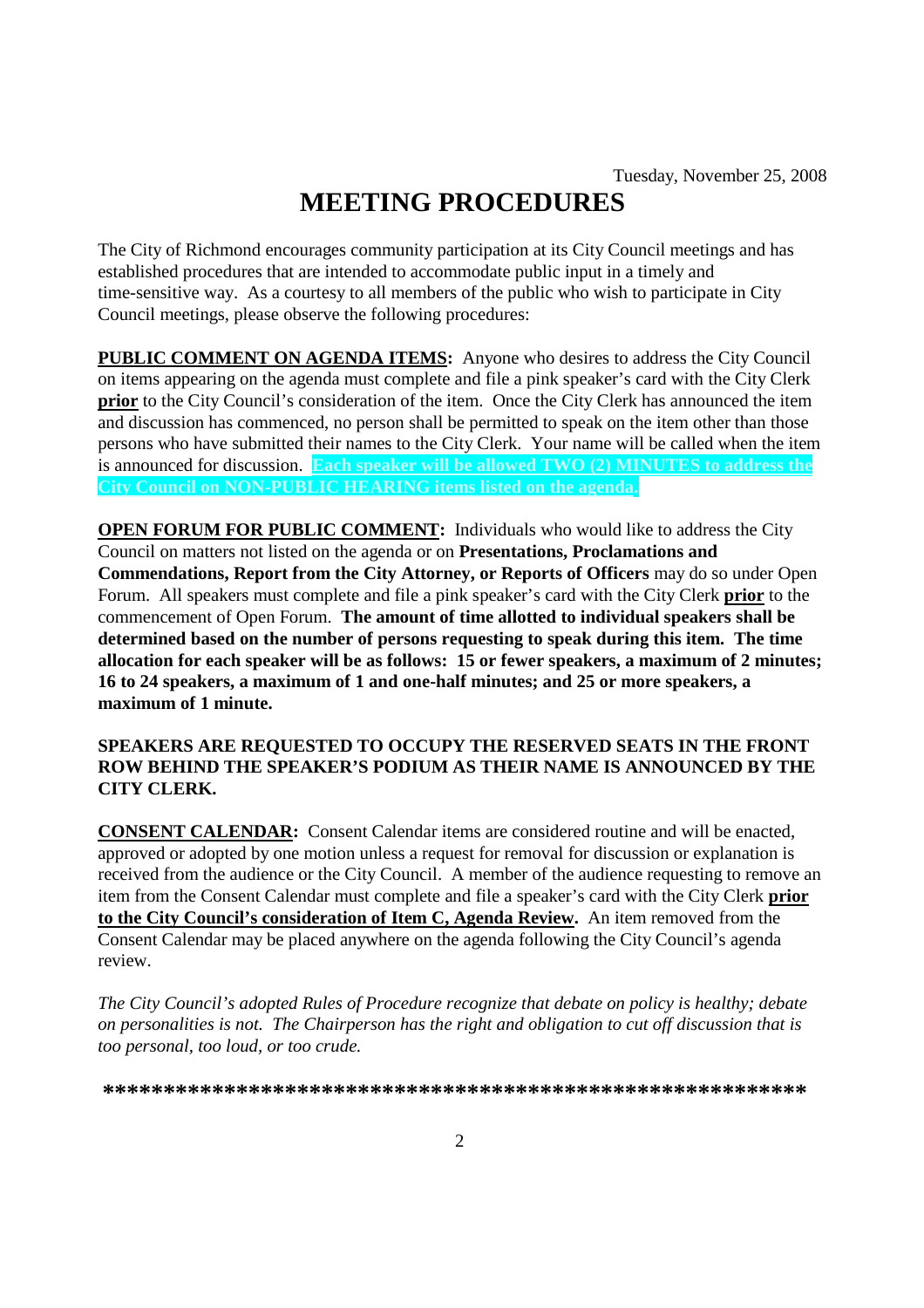# **MEETING PROCEDURES**

The City of Richmond encourages community participation at its City Council meetings and has established procedures that are intended to accommodate public input in a timely and time-sensitive way. As a courtesy to all members of the public who wish to participate in City Council meetings, please observe the following procedures:

**PUBLIC COMMENT ON AGENDA ITEMS:** Anyone who desires to address the City Council on items appearing on the agenda must complete and file a pink speaker's card with the City Clerk **prior** to the City Council's consideration of the item. Once the City Clerk has announced the item and discussion has commenced, no person shall be permitted to speak on the item other than those persons who have submitted their names to the City Clerk. Your name will be called when the item is announced for discussion. **Each speaker will be allowed TWO (2) MINUTES to address the City Council on NON-PUBLIC HEARING items listed on the agenda.**

**OPEN FORUM FOR PUBLIC COMMENT:** Individuals who would like to address the City Council on matters not listed on the agenda or on **Presentations, Proclamations and Commendations, Report from the City Attorney, or Reports of Officers** may do so under Open Forum. All speakers must complete and file a pink speaker's card with the City Clerk **prior** to the commencement of Open Forum. **The amount of time allotted to individual speakers shall be determined based on the number of persons requesting to speak during this item. The time allocation for each speaker will be as follows: 15 or fewer speakers, a maximum of 2 minutes; 16 to 24 speakers, a maximum of 1 and one-half minutes; and 25 or more speakers, a maximum of 1 minute.**

#### **SPEAKERS ARE REQUESTED TO OCCUPY THE RESERVED SEATS IN THE FRONT ROW BEHIND THE SPEAKER'S PODIUM AS THEIR NAME IS ANNOUNCED BY THE CITY CLERK.**

**CONSENT CALENDAR:** Consent Calendar items are considered routine and will be enacted, approved or adopted by one motion unless a request for removal for discussion or explanation is received from the audience or the City Council. A member of the audience requesting to remove an item from the Consent Calendar must complete and file a speaker's card with the City Clerk **prior to the City Council's consideration of Item C, Agenda Review.** An item removed from the Consent Calendar may be placed anywhere on the agenda following the City Council's agenda review.

*The City Council's adopted Rules of Procedure recognize that debate on policy is healthy; debate on personalities is not. The Chairperson has the right and obligation to cut off discussion that is too personal, too loud, or too crude.*

**\*\*\*\*\*\*\*\*\*\*\*\*\*\*\*\*\*\*\*\*\*\*\*\*\*\*\*\*\*\*\*\*\*\*\*\*\*\*\*\*\*\*\*\*\*\*\*\*\*\*\*\*\*\*\*\*\*\***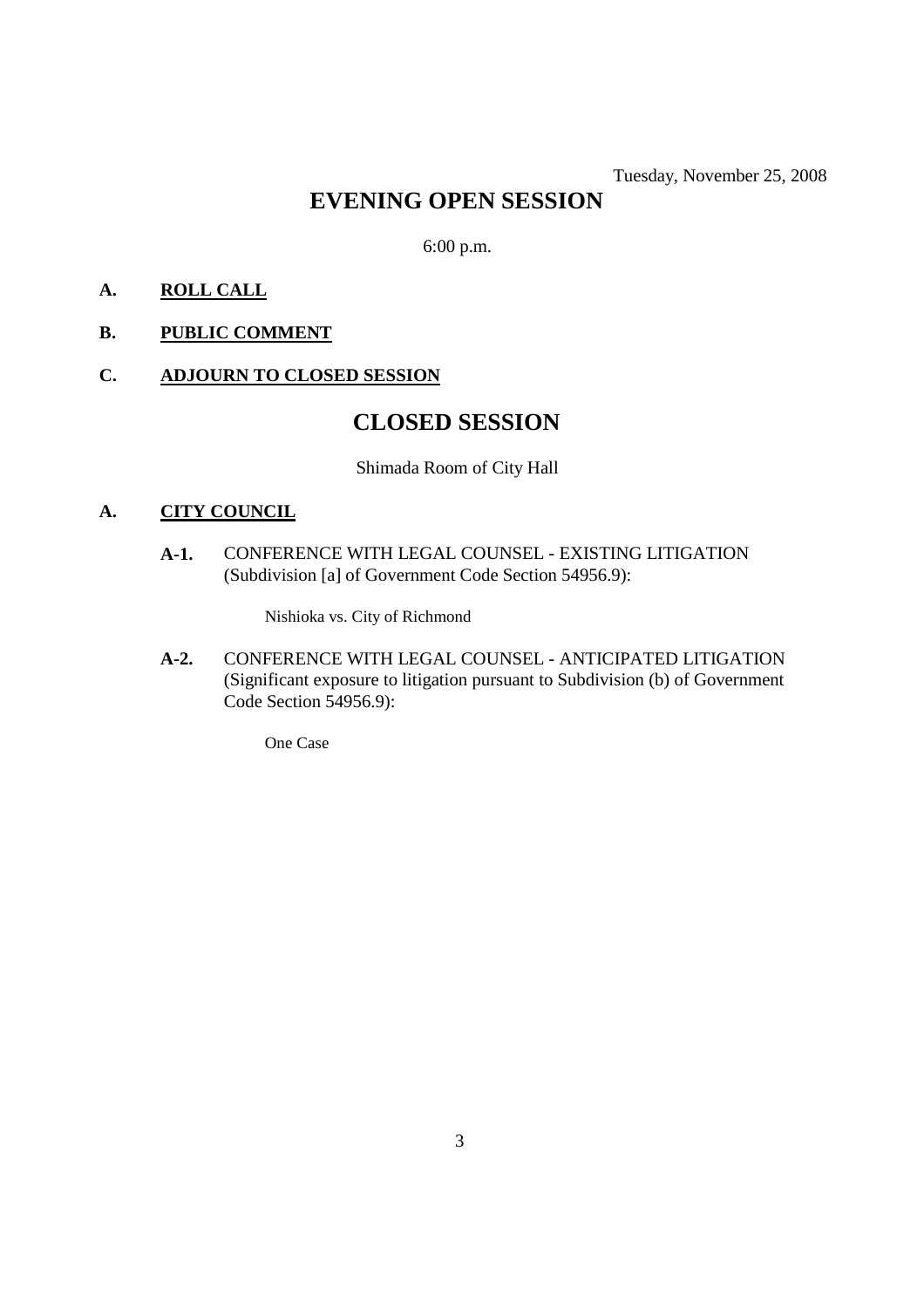# **EVENING OPEN SESSION**

6:00 p.m.

#### **A. ROLL CALL**

#### **B. PUBLIC COMMENT**

#### **C. ADJOURN TO CLOSED SESSION**

## **CLOSED SESSION**

Shimada Room of City Hall

#### **A. CITY COUNCIL**

**A-1.** CONFERENCE WITH LEGAL COUNSEL - EXISTING LITIGATION (Subdivision [a] of Government Code Section 54956.9):

Nishioka vs. City of Richmond

**A-2.** CONFERENCE WITH LEGAL COUNSEL - ANTICIPATED LITIGATION (Significant exposure to litigation pursuant to Subdivision (b) of Government Code Section 54956.9):

One Case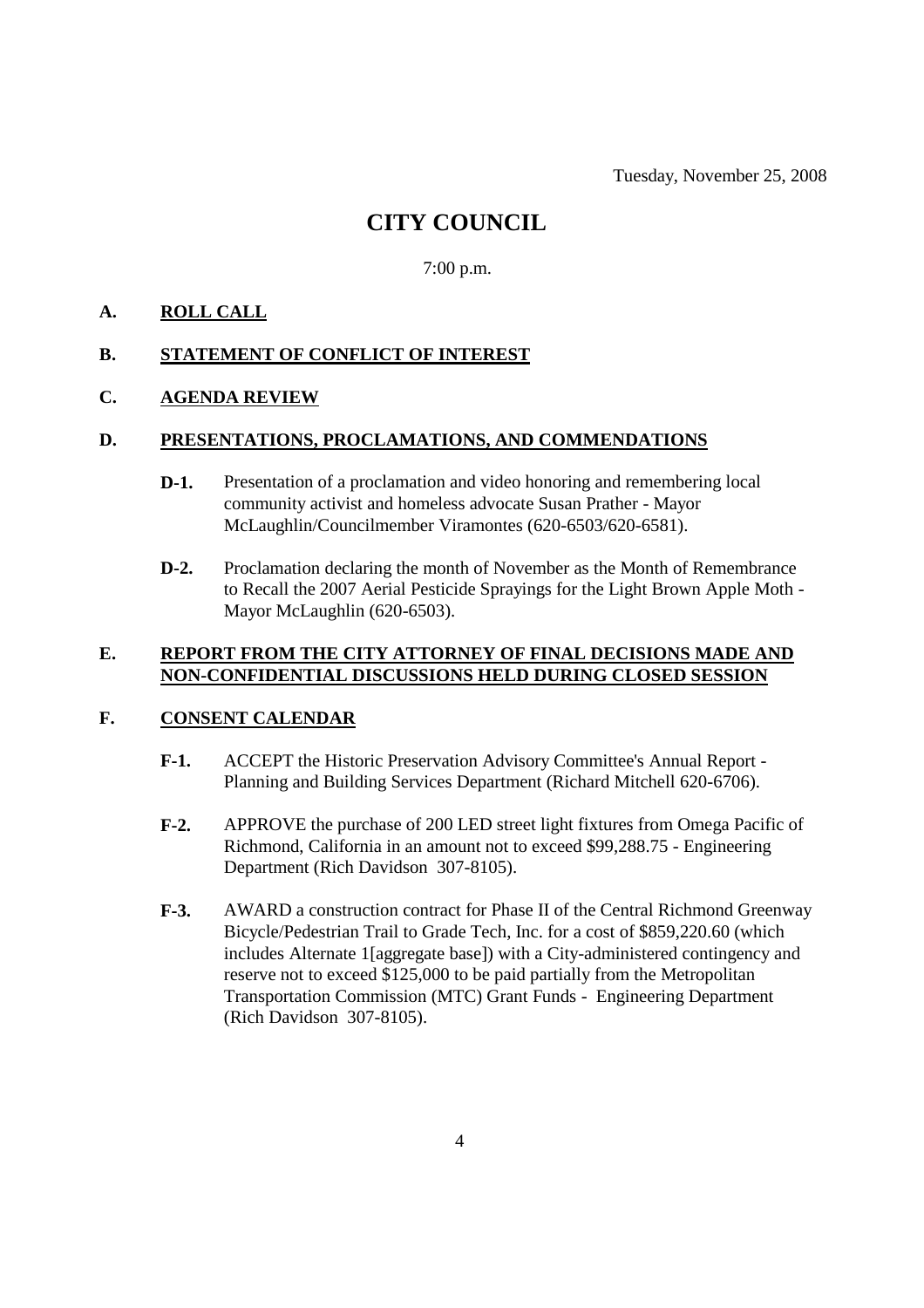Tuesday, November 25, 2008

### **CITY COUNCIL**

7:00 p.m.

#### **A. ROLL CALL**

#### **B. STATEMENT OF CONFLICT OF INTEREST**

#### **C. AGENDA REVIEW**

#### **D. PRESENTATIONS, PROCLAMATIONS, AND COMMENDATIONS**

- **D-1.** Presentation of a proclamation and video honoring and remembering local community activist and homeless advocate Susan Prather - Mayor McLaughlin/Councilmember Viramontes (620-6503/620-6581).
- **D-2.** Proclamation declaring the month of November as the Month of Remembrance to Recall the 2007 Aerial Pesticide Sprayings for the Light Brown Apple Moth - Mayor McLaughlin (620-6503).

#### **E. REPORT FROM THE CITY ATTORNEY OF FINAL DECISIONS MADE AND NON-CONFIDENTIAL DISCUSSIONS HELD DURING CLOSED SESSION**

#### **F. CONSENT CALENDAR**

- **F-1.** ACCEPT the Historic Preservation Advisory Committee's Annual Report Planning and Building Services Department (Richard Mitchell 620-6706).
- **F-2.** APPROVE the purchase of 200 LED street light fixtures from Omega Pacific of Richmond, California in an amount not to exceed \$99,288.75 - Engineering Department (Rich Davidson 307-8105).
- **F-3.** AWARD a construction contract for Phase II of the Central Richmond Greenway Bicycle/Pedestrian Trail to Grade Tech, Inc. for a cost of \$859,220.60 (which includes Alternate 1[aggregate base]) with a City-administered contingency and reserve not to exceed \$125,000 to be paid partially from the Metropolitan Transportation Commission (MTC) Grant Funds - Engineering Department (Rich Davidson 307-8105).